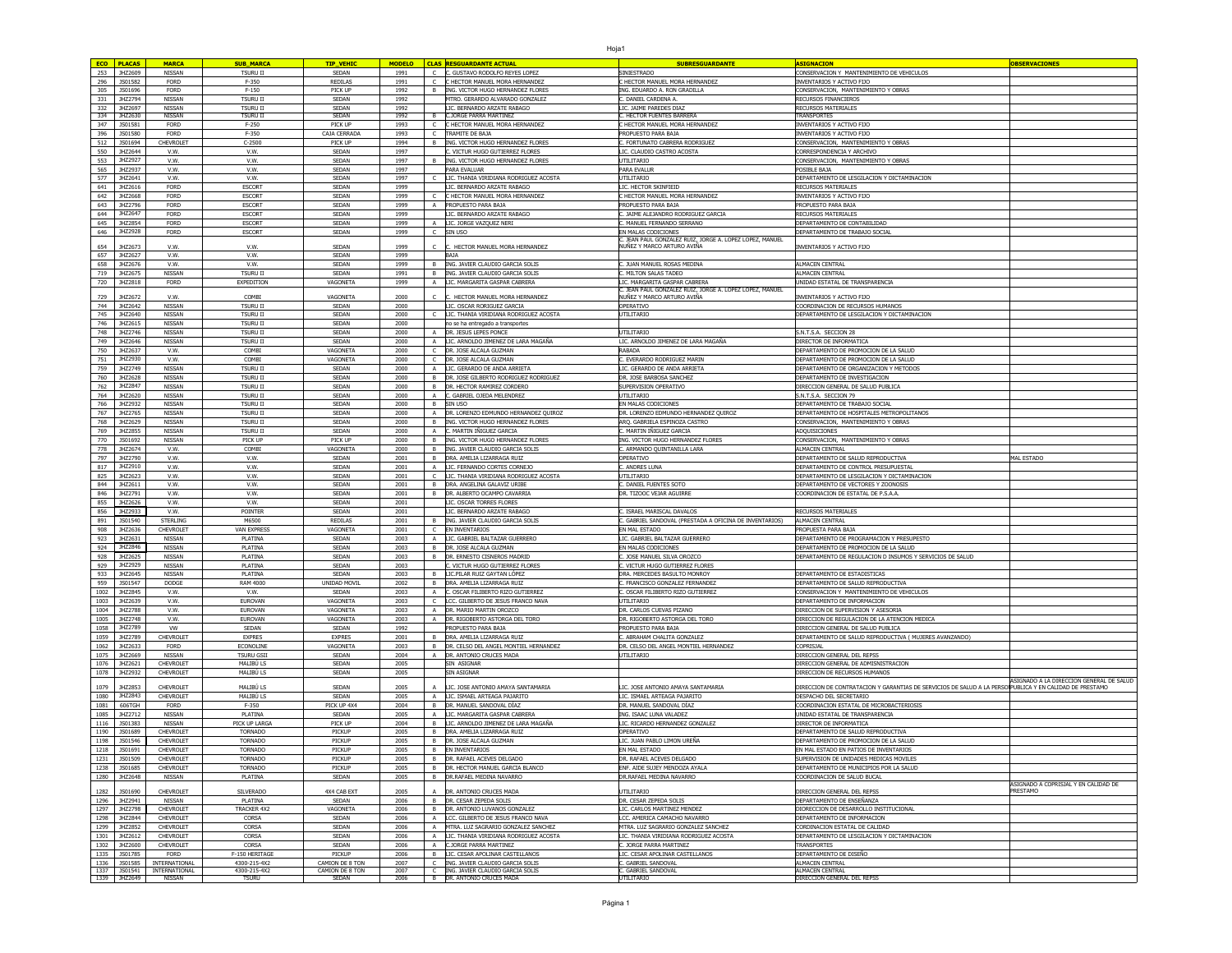|      | <b>ECO PLACAS</b>  | <b>MARCA</b>               | <b>SUB MARC</b>    | <b>TIP_VEHIC</b> | <b>MODELO</b> |              | CLAS PESSUARDANTE ACTUAL                 | <b>SUBRESGUARDANTE</b>                                                               | <b>ASTGNACION</b>                                                                                       |                                                         |
|------|--------------------|----------------------------|--------------------|------------------|---------------|--------------|------------------------------------------|--------------------------------------------------------------------------------------|---------------------------------------------------------------------------------------------------------|---------------------------------------------------------|
| 253  | JHZ2609            | NISSAN                     | <b>TSURU II</b>    | SEDAN            | 1991          | $\epsilon$   | C. GUSTAVO RODOLFO REYES LOPEZ           | <b>SINIESTRADO</b>                                                                   | CONSERVACION Y MANTENIMIENTO DE VEHICULOS                                                               |                                                         |
|      |                    |                            |                    | REDILAS          |               |              |                                          |                                                                                      |                                                                                                         |                                                         |
| 296  | JS01582            | <b>FORD</b>                | F-350              |                  | 1991          |              | C HECTOR MANUEL MORA HERNANDEZ           | HECTOR MANUEL MORA HERNANDEZ                                                         | <b>INVENTARIOS Y ACTIVO FIJO</b>                                                                        |                                                         |
| 305  | JS01696            | <b>FORD</b>                | $F-150$            | PICK UP          | 1992          |              | B ING, VICTOR HUGO HERNANDEZ FLORES      | NG, EDUARDO A, RON GRADILLA                                                          | CONSERVACION. MANTENIMIENTO Y OBRAS                                                                     |                                                         |
| 331  | JHZ2794            | NISSAN                     | <b>TSURU II</b>    | SEDAN            | 1992          |              | MTRO. GERARDO ALVARADO GONZALEZ          | . DANIEL CARDENA A                                                                   | RECURSOS FINANCIEROS                                                                                    |                                                         |
| 332  | JHZ2697            | NISSAN                     | <b>TSURU II</b>    | SEDAN            | 1992          |              | LIC. BERNARDO ARZATE RABAGO              | IC. JAIME PAREDES DIAZ                                                               | RECURSOS MATERIALES                                                                                     |                                                         |
| 334  | JHZ2630            | NISSAN                     | <b>TSURU II</b>    | SEDAN            | 1992          |              | <b>C.JORGE PARRA MARTINEZ</b>            | . HECTOR FUENTES BARRERA                                                             | <b>TRANSPORTES</b>                                                                                      |                                                         |
| 347  | JS01581            | <b>FORD</b>                | $F-250$            | PICK UP          | 1993          |              | C HECTOR MANUEL MORA HERNANDEZ           | HECTOR MANUEL MORA HERNANDEZ                                                         | INVENTARIOS Y ACTIVO FIJO                                                                               |                                                         |
| 396  | JS01580            | <b>FORD</b>                | F-350              | CAJA CERRADA     | 1993          |              | C TRAMITE DE BAJA                        | PROPUESTO PARA BAJA                                                                  | INVENTARIOS Y ACTIVO FIJO                                                                               |                                                         |
| 512  | JS01694            | CHEVROLET                  | $C-2500$           | PICK UP          | 1994          |              | B ING. VICTOR HUGO HERNANDEZ FLORES      | FORTUNATO CABRERA RODRIGUEZ                                                          | CONSERVACION, MANTENIMIENTO Y OBRAS                                                                     |                                                         |
| 550  | JHZ2644            | V.W.                       | V.W.               | SEDAN            | 1997          |              | VICTUR HUGO GUTTERREZ ELORES             | IC. CLAUDIO CASTRO ACOSTA                                                            | CORRESPONDENCIA Y ARCHIVO                                                                               |                                                         |
| 553  | JHZ2927            | V.W.                       | V.W.               | SEDAN            | 1997          | B            | ING, VICTOR HUGO HERNANDEZ FLORES        | UTILITARIO                                                                           | CONSERVACION, MANTENIMIENTO Y OBRAS                                                                     |                                                         |
| 565  | JHZ2937            | V.W.                       | V.W.               | SEDAN            | 1997          |              | PARA FVALUAR                             | PARA EVALUR                                                                          | POSIBLE BAJA                                                                                            |                                                         |
| 577  | JHZ2641            | V.W.                       | V.W.               | SEDAN            | 1997          | $\mathsf{C}$ | LIC. THANIA VIRIDIANA RODRIGUEZ ACOSTA   | UTILITARIO                                                                           | DEPARTAMENTO DE LESGILACION Y DICTAMINACION                                                             |                                                         |
|      | 641 JHZ2616        | <b>FORD</b>                | ESCORT             | SEDAN            | 1999          |              | LIC. BERNARDO ARZATE RABAGO              | LIC. HECTOR SKINFIEID                                                                | RECURSOS MATERIALES                                                                                     |                                                         |
| 642  | JHZ2668            | <b>FORD</b>                | <b>ESCORT</b>      | SEDAN            | 1999          | C.           | C HECTOR MANUEL MORA HERNANDEZ           | HECTOR MANUEL MORA HERNANDEZ                                                         | INVENTARIOS Y ACTIVO FIJO                                                                               |                                                         |
| 643  | JHZ2796            | <b>FORD</b>                | <b>ESCORT</b>      | SEDAN            | 1999          |              | A <b>PROPUESTO PARA BAJA</b>             | ROPUESTO PARA BAJA                                                                   | PROPUESTO PARA BAJA                                                                                     |                                                         |
| 644  | JHZ2647            | <b>FORD</b>                | <b>ESCORT</b>      | SEDAN            | 1999          |              | IC. BERNARDO ARZATE RABAGO               | JAIME ALEJANDRO RODRIGUEZ GARCIA                                                     | <b><i>LECURSOS MATERIALES</i></b>                                                                       |                                                         |
| 645  | JHZ2854            | <b>FORD</b>                | ESCORT             | SEDAN            | 1999          |              | LIC. JORGE VAZQUEZ NERI                  | MANUEL FERNANDO SERRANO                                                              | <b>DEPARTAMENTO DE CONTABILIDAD</b>                                                                     |                                                         |
|      |                    |                            |                    |                  |               |              |                                          |                                                                                      |                                                                                                         |                                                         |
| 646  | JHZ2928            | <b>FORD</b>                | ESCORT             | SEDAN            | 1999          |              | SIN USO                                  | N MALAS CODICIONES<br>. JEAN PAUL GONZALEZ RUIZ, JORGE A. LOPEZ LOPEZ, MANUEL        | DEPARTAMENTO DE TRABAJO SOCIAI                                                                          |                                                         |
| 654  | JHZ2673            | V.W.                       | V.W.               | SEDAN            | 1999          |              | HECTOR MANUEL MORA HERNANDEZ             | NUÑEZ Y MARCO ARTURO AVIÑA                                                           | INVENTARIOS Y ACTIVO FIJO                                                                               |                                                         |
| 657  | JHZ2627            | V.W.                       | V.W.               | SEDAN            | 1999          |              | BAJA                                     |                                                                                      |                                                                                                         |                                                         |
| 658  | JHZ2676            | V.W.                       | V.W.               | SEDAN            | 1999          |              | ING. JAVIER CLAUDIO GARCIA SOLIS         | JUAN MANUEL ROSAS MEDINA                                                             | ALMACEN CENTRAI                                                                                         |                                                         |
|      |                    |                            |                    |                  |               |              | ING. JAVIER CLAUDIO GARCIA SOLIS         |                                                                                      |                                                                                                         |                                                         |
| 719  | JHZ2675<br>JHZ2818 | NISSAN                     | <b>TSURU I</b>     | SEDAN            | 1991          |              |                                          | . MILTON SALAS TADEC                                                                 | <b>ILMACEN CENTRA</b>                                                                                   |                                                         |
| 720  |                    | <b>FORD</b>                | EXPEDITION         | VAGONETA         | 1999          |              | A LIC. MARGARITA GASPAR CABRERA          | IC. MARGARITA GASPAR CABRERA                                                         | JNIDAD ESTATAL DE TRANSPARENCIA                                                                         |                                                         |
| 729  | JHZ2672            | V.W                        | COMB:              | VAGONET/         | 2000          |              | HECTOR MANUEL MORA HERNANDEZ             | . JEAN PAUL GONZALEZ RUIZ, JORGE A. LOPEZ LOPEZ, MANUEL<br>UÑEZ Y MARCO ARTURO AVIÑA | <b>VVENTARIOS Y ACTIVO FIJO</b>                                                                         |                                                         |
| 744  | JHZ2642            | NISSAN                     | <b>TSURU I</b>     | SEDAN            | 2000          |              | LIC. OSCAR RORIGUEZ GARCIA               | OPERATIVO                                                                            | COORDINACION DE RECURSOS HUMANOS                                                                        |                                                         |
| 745  | JHZ2640            | NISSAN                     | <b>TSURU II</b>    | SEDAN            | 2000          |              | C LIC. THANIA VIRIDIANA RODRIGUEZ ACOSTA | <b>JTILITARIO</b>                                                                    | DEPARTAMENTO DE LESGILACION Y DICTAMINACION                                                             |                                                         |
|      |                    |                            |                    |                  |               |              |                                          |                                                                                      |                                                                                                         |                                                         |
| 746  | JHZ2615            | NISSAN                     | <b>TSURU I</b>     | SEDAN            | 2000          |              | no se ha entregado a transporte          |                                                                                      |                                                                                                         |                                                         |
| 748  | JHZ2746            | NISSAN                     | <b>TSURU II</b>    | SEDAN            | 2000          |              | A <b>DR. JESUS LEPES PONCE</b>           | UTILITARIO                                                                           | S.N.T.S.A. SECCION 28                                                                                   |                                                         |
| 749  | JHZ2646            | NISSAN                     | <b>TSURU II</b>    | SEDAN            | 2000          |              | A LIC. ARNOLDO JIMENEZ DE LARA MAGAÑA    | LIC. ARNOLDO JIMENEZ DE LARA MAGAÑA                                                  | DIRECTOR DE INFORMATICA                                                                                 |                                                         |
| 750  | JHZ2637            | V.W.                       | COMBI              | VAGONETA         | 2000          |              | C DR. JOSE ALCALA GUZMAN                 | RABADA                                                                               | DEPARTAMENTO DE PROMOCION DE LA SALUD                                                                   |                                                         |
| 751  | JHZ2930            | V.W.                       | COMBI              | VAGONETA         | 2000          |              | C <b>DR. JOSE ALCALA GUZMAN</b>          | . EVERARDO RODRIGUEZ MARIN                                                           | DEPARTAMENTO DE PROMOCION DE LA SALUD                                                                   |                                                         |
| 759  | JHZ2749            | NISSAN                     | <b>TSURU II</b>    | SEDAN            | 2000          |              | A ILIC. GERARDO DE ANDA ARRIETA          | IC. GERARDO DE ANDA ARRIETA                                                          | DEPARTAMENTO DE ORGANIZACION Y METODOS                                                                  |                                                         |
| 760  | JHZ2628            | NISSAN                     | <b>TSURU II</b>    | SEDAN            | 2000          | <b>B</b>     | DR. JOSE GILBERTO RODRIGUEZ RODRIGUEZ    | R. JOSE BARBOSA SANCHEZ                                                              | DEPARTAMENTO DE INVESTIGACION                                                                           |                                                         |
| 762  | JHZ2847            | NISSAN                     | <b>TSURU II</b>    | SEDAN            | 2000          | B            | DR. HECTOR RAMIREZ CORDERO               | <b>UPERVISION OPERATIVO</b>                                                          | DIRECCION GENERAL DE SALUD PUBLICA                                                                      |                                                         |
| 764  | JHZ2620            | NISSAN                     | <b>TSURU II</b>    | SEDAN            | 2000          | A            | C. GABRIEL OJEDA MELENDREZ               | <b>JTILITARIO</b>                                                                    | I.N.T.S.A. SECCION 79                                                                                   |                                                         |
| 766  | JHZ2932            | NISSAN                     | <b>TSURU II</b>    | SEDAN            | 2000          |              | B SIN USO                                | EN MALAS CODICIONES                                                                  | DEPARTAMENTO DE TRABAJO SOCIA                                                                           |                                                         |
| 767  | JHZ2765            | NISSAN                     | <b>TSURU II</b>    | SEDAN            | 2000          |              | A DR. LORENZO EDMUNDO HERNANDEZ QUIROZ   | DR. LORENZO EDMUNDO HERNANDEZ QUIROZ                                                 | DEPARTAMENTO DE HOSPITALES METROPOLITANOS                                                               |                                                         |
| 768  | JHZ2629            | NISSAN                     | <b>TSURU II</b>    | SEDAN            | 2000          |              | B ING, VICTOR HUGO HERNANDEZ FLORES      | ARQ. GABRIELA ESPINOZA CASTRO                                                        | CONSERVACION, MANTENIMIENTO Y OBRAS                                                                     |                                                         |
| 769  | JHZ2855            | NISSAN                     | <b>TSURU I</b>     | SEDAN            | 2000          |              | A C. MARTIN IÑIGUEZ GARCIA               |                                                                                      |                                                                                                         |                                                         |
|      |                    |                            |                    |                  |               |              |                                          | ). MARTIN IÑIGUEZ GARCIA                                                             | ADQUISICIONES                                                                                           |                                                         |
| 770  | JS01692            | NISSAN                     | PICK UP            | PICK UP          | 2000          |              | B  ING. VICTOR HUGO HERNANDEZ FLORES     | ING. VICTOR HUGO HERNANDEZ FLORES                                                    | CONSERVACION, MANTENIMIENTO Y OBRAS                                                                     |                                                         |
| 778  | JHZ2674            | V.W.                       | COMBI              | <b>VAGONETA</b>  | 2000          |              | B ING. JAVIER CLAUDIO GARCIA SOLIS       | . ARMANDO QUINTANILLA LARA                                                           | ALMACEN CENTRAL                                                                                         |                                                         |
| 797  | JHZ2790            | V.W.                       | V.W.               | SEDAN            | 2001          |              | B DRA. AMELIA LIZARRAGA RUIZ             | <b>DPERATIVO</b>                                                                     | DEPARTAMENTO DE SALUD REPRODUCTIVA                                                                      | MAL ESTADO                                              |
| 817  | JHZ2910            | V.W.                       | V.W.               | SEDAN            | 2001          |              | A LIC. FERNANDO CORTES CORNEJO           | . ANDRES LUNA                                                                        | DEPARTAMENTO DE CONTROL PRESUPUESTAL                                                                    |                                                         |
| 825  | JHZ2623            | V.W.                       | V.W.               | SEDAN            | 2001          |              | C LIC. THANIA VIRIDIANA RODRIGUEZ ACOSTA | <b>TILITARIO</b>                                                                     | DEPARTAMENTO DE LESGILACION Y DICTAMINACION                                                             |                                                         |
| 844  | JHZ2611            | V.W.                       | V.W.               | SEDAN            | 2001          | <b>B</b>     | DRA. ANGELINA GALAVIZ URIBE              | DANIEL FUENTES SOTO                                                                  | DEPARTAMENTO DE VECTORES Y ZOONOSIS                                                                     |                                                         |
| 846  | JHZ2791            | V.W.                       | V.W.               | SEDAN            | 2001          | <b>B</b>     | DR. ALBERTO OCAMPO CAVARRIA              | R. TIZOOC VEJAR AGUIRRE                                                              | COORDINACION DE ESTATAL DE P.S.A.A.                                                                     |                                                         |
| 855  | JHZ2626            | V.W.                       | V.W.               | SEDAN            | 2001          |              | IC. OSCAR TORRES FLORES                  |                                                                                      |                                                                                                         |                                                         |
| 856  | JHZ2933            | V.W.                       | POINTER            | SEDAN            | 2001          |              | LIC. BERNARDO ARZATE RABAGO              | . ISRAEL MARISCAL DAVALOS                                                            | RECURSOS MATERIALES                                                                                     |                                                         |
| 891  | JS01540            | <b>STERLING</b>            | M6500              | REDILAS          | 2001          | B            | ING. JAVIER CLAUDIO GARCIA SOLIS         | GABRIEL SANDOVAL (PRESTADA A OFICINA DE INVENTARIOS)                                 | ALMACEN CENTRAI                                                                                         |                                                         |
| 908  | JHZ2636            | <b>CHEVROLET</b>           | <b>VAN EXPRES:</b> | <b>VAGONET/</b>  | 2001          | $\mathsf{C}$ | EN INVENTARIOS                           | IN MAL ESTADO                                                                        | ROPUESTA PARA BAJA                                                                                      |                                                         |
| 923  | JHZ263             | NISSAN                     | <b>PLATINA</b>     | SEDAN            | 2003          |              | A LIC, GABRIEL BALTAZAR GUERRERC         | IC. GABRIEL BALTAZAR GUERRERO                                                        | DEPARTAMENTO DE PROGRAMACION Y PRESUPESTO                                                               |                                                         |
| 924  | JHZ2846            | NISSAN                     | PLATINA            | SEDAN            | 2003          |              | B DR. JOSE ALCALA GUZMAN                 | IN MALAS CODICIONES                                                                  | DEPARTAMENTO DE PROMOCION DE LA SALUD                                                                   |                                                         |
|      |                    |                            |                    |                  |               |              |                                          |                                                                                      |                                                                                                         |                                                         |
| 928  | JHZ2625            | NISSAN                     | PLATINA            | SEDAN            | 2003          |              | B DR. ERNESTO CISNEROS MADRID            | . JOSE MANUEL SILVA OROZCO                                                           | DEPARTAMENTO DE REGULACION D INSUMOS Y SERVICIOS DE SALUD                                               |                                                         |
| 929  | JHZ2929            | NISSAN                     | PLATINA            | SEDAN            | 2003          |              | C. VICTUR HUGO GUTIERREZ FLORES          | VICTUR HUGO GUTIERREZ FLORES                                                         |                                                                                                         |                                                         |
| 933  | JHZ2645            | NISSAN                     | <b>PLATINA</b>     | SEDAN            | 2003          |              | B LIC.PILAR RUIZ GAYTAN LÓPEZ            | DRA. MERCEDES BASULTO MONROY                                                         | DEPARTAMENTO DE ESTADISTICAS                                                                            |                                                         |
| 959  | JS01547            | DODGE                      | RAM 4000           | UNIDAD MOVI      | 2002          |              | B DRA. AMELIA LIZARRAGA RUIZ             | FRANCISCO GONZALEZ FERNANDEZ                                                         | DEPARTAMENTO DE SALUD REPRODUCTIVA                                                                      |                                                         |
| 1002 | JHZ2845            | V.W.                       | V.W.               | SEDAN            | 2003          | $\mathsf{A}$ | C. OSCAR FILIBERTO RIZO GUTIERREZ        | OSCAR FILIBERTO RIZO GUTIERREZ                                                       | CONSERVACION Y MANTENIMIENTO DE VEHICULOS                                                               |                                                         |
| 1003 | JHZ2639            | V.W.                       | EUROVAN            | VAGONETA         | 2003          |              | LCC. GILBERTO DE JESUS FRANCO NAVA       | TILITARIO                                                                            | DEPARTAMENTO DE INFORMACION                                                                             |                                                         |
| 1004 | JHZ2788            | V.W.                       | EUROVAN            | VAGONETA         | 2003          | $\mathsf{A}$ | DR. MARIO MARTIN OROZCO                  | R. CARLOS CUEVAS PIZANO                                                              | DIRECCION DE SUPERVISION Y ASESORIA                                                                     |                                                         |
| 1005 | JHZ2748            | V.W.                       | EUROVAN            | VAGONETA         | 2003          |              | A <b>DR. RIGOBERTO ASTORGA DEL TORO</b>  | DR. RIGOBERTO ASTORGA DEL TORO                                                       | DIRECCION DE REGULACION DE LA ATENCION MEDICA                                                           |                                                         |
| 1058 | JHZ2789            | W                          | SEDAN              | SEDAN            | 1992          |              | PROPUESTO PARA BAJA                      | <b>ROPUESTO PARA BAJA</b>                                                            | DIRECCION GENERAL DE SALUD PUBLICA                                                                      |                                                         |
| 1059 | JHZ2789            | CHEVROLET                  | <b>EXPRES</b>      | <b>EXPRES</b>    | 2001          | B            | DRA. AMELIA LIZARRAGA RUIZ               | . ABRAHAM CHALITA GONZALEZ                                                           | DEPARTAMENTO DE SALUD REPRODUCTIVA ( MUJERES AVANZANDO)                                                 |                                                         |
| 1062 | JHZ2633            | <b>FORD</b>                | <b>ECONOLINI</b>   | <b>VAGONETA</b>  | 2003          |              | B DR. CELSO DEL ANGEL MONTIEL HERNANDEZ  | OR. CELSO DEL ANGEL MONTIEL HERNANDEZ                                                | COPRISJAL                                                                                               |                                                         |
| 1075 | JHZ2669            | NISSAN                     | <b>TSURU GSII</b>  | SEDAN            | 2004          |              | A <b>DR. ANTONIO CRUCES MADA</b>         | <b>JTILITARIO</b>                                                                    | DIRECCION GENERAL DEL REPSS                                                                             |                                                         |
| 1076 | JHZ2621            | CHEVROLET                  | MALIBÚ LS          | SEDAN            | 2005          |              | SIN ASIGNAR                              |                                                                                      | DIRECCION GENERAL DE ADMISNISTRACION                                                                    |                                                         |
|      | 1078 JHZ2932       | CHEVROLET                  | MALIBÚ LS          | SEDAN            | 2005          |              | <b>SIN ASIGNAR</b>                       |                                                                                      | DIRECCION DE RECURSOS HUMANOS                                                                           |                                                         |
|      |                    |                            |                    |                  |               |              |                                          |                                                                                      |                                                                                                         | ASIGNADO A LA DIRECCION GENERAL DE SALUD                |
| 1079 | JHZ2853            | CHEVROLET                  | MALIBÚ LS          | SEDAN            | 2005          |              | LIC. JOSE ANTONIO AMAYA SANTAMARIA       | IC. JOSE ANTONIO AMAYA SANTAMARIA                                                    | DIRECCION DE CONTRATACION Y GARANTIAS DE SERVICIOS DE SALUD A LA PERSO PUBLICA Y EN CALIDAD DE PRESTAMO |                                                         |
|      | 1080 JHZ2843       | CHEVROLET                  | MALIBÚ LS          | SEDAN            | 2005          |              | A LIC. ISMAEL ARTEAGA PAJARITO           | LIC. ISMAEL ARTEAGA PAJARITO                                                         | DESPACHO DEL SECRETARIO                                                                                 |                                                         |
| 1081 | 606TGH             | <b>FORD</b>                | F-350              | PICK UP 4X4      | 2004          |              | B DR. MANUEL SANDOVAL DÍAZ               | )R. MANUEL SANDOVAL DÍAZ                                                             | COORDINACION ESTATAL DE MICROBACTERIOSIS                                                                |                                                         |
| 1085 | JHZ2712            | NISSAN                     | PLATINA            | SEDAN            | 2005          |              | A LIC. MARGARITA GASPAR CABRERA          | ING. ISAAC LUNA VALADEZ                                                              | JNIDAD ESTATAL DE TRANSPARENCIA                                                                         |                                                         |
| 1116 | JS01383            | NISSAN                     | PICK UP LARGA      | PICK UP          | 2004          |              | B  LIC. ARNOLDO JIMENEZ DE LARA MAGAÑA   | IC. RICARDO HERNANDEZ GONZALEZ                                                       | DIRECTOR DE INFORMATICA                                                                                 |                                                         |
| 1190 | JS01689            | CHEVROLET                  | <b>TORNADO</b>     | PICKUP           | 2005          |              | B DRA. AMELIA LIZARRAGA RUIZ             | PERATIVO                                                                             | DEPARTAMENTO DE SALUD REPRODUCTIVA                                                                      |                                                         |
| 1198 | JS01546            | CHEVROLET                  | TORNADO            | PICKUP           | 2005          |              | B DR. JOSE ALCALA GUZMAN                 | .IC. JUAN PABLO LIMON UREÑA                                                          | DEPARTAMENTO DE PROMOCION DE LA SALUD                                                                   |                                                         |
|      |                    |                            |                    |                  |               |              |                                          |                                                                                      |                                                                                                         |                                                         |
|      | 1218   JS01691     | CHEVROLET                  | TORNADO            | PICKUP           | 2005          |              | <b>B</b> EN INVENTARIOS                  | EN MAL ESTADO                                                                        | EN MAL ESTADO EN PATIOS DE INVENTARIOS                                                                  |                                                         |
|      | 1231 JS01509       | CHEVROLET                  | <b>TORNADO</b>     | PICKUP           | 2005          |              | DR. RAFAEL ACEVES DELGADO                | DR. RAFAEL ACEVES DELGADO                                                            | SUPERVISION DE UNIDADES MEDICAS MOVILES                                                                 |                                                         |
|      | 1238 3S01685       | CHEVROLET                  | <b>TORNADO</b>     | PICKUP           | 2005          |              | B  DR. HECTOR MANUEL GARCIA BLANCO       | ENF. AIDE SUJEY MENDOZA AYALA                                                        | DEPARTAMENTO DE MUNICIPIOS POR LA SALUD                                                                 |                                                         |
|      | 1280 JHZ2648       | NISSAN                     | PLATINA            | SEDAN            | 2005          |              | B DR.RAFAEL MEDINA NAVARRO               | DR.RAFAEL MEDINA NAVARRO                                                             | COORDINACION DE SALUD BUCAL                                                                             |                                                         |
|      |                    |                            | SILVERADO          | 4X4 CAB EXT      | 2005          |              | A <b>DR. ANTONIO CRUCES MADA</b>         | <b>JTILITARIO</b>                                                                    | DIRECCION GENERAL DEL REPSS                                                                             | ASIGNADO A COPRISJAL Y EN CALIDAD DE<br><b>PRESTAMO</b> |
| 1282 | JS01690            | CHEVROLET                  |                    |                  |               |              |                                          |                                                                                      |                                                                                                         |                                                         |
|      | 1296 JHZ2941       | NISSAN                     | PLATINA            | SEDAN            | 2006          |              | B DR. CESAR ZEPEDA SOLIS                 | DR. CESAR ZEPEDA SOLIS                                                               | DEPARTAMENTO DE ENSEÑANZA                                                                               |                                                         |
| 1297 | JHZ2798            | CHEVROLET                  | <b>TRACKER 4X2</b> | VAGONETA         | 2006          |              | B DR. ANTONIO LUVANOS GONZALEZ           | IC. CARLOS MARTINEZ MENDEZ                                                           | DIORECCION DE DESARROLLO INSTITUCIONAL                                                                  |                                                         |
|      | 1298 JHZ2844       | CHEVROLET                  | CORSA              | SEDAN            | 2006          |              | A LCC. GILBERTO DE JESUS FRANCO NAVA     | LCC. AMERICA CAMACHO NAVARRO                                                         | DEPARTAMENTO DE INFORMACION                                                                             |                                                         |
|      | 1299 JHZ2852       | CHEVROLET                  | CORSA              | SEDAN            | 2006          |              | A MTRA. LUZ SAGRARIO GONZALEZ SANCHEZ    | MTRA. LUZ SAGRARIO GONZALEZ SANCHEZ                                                  | CORDINACION ESTATAL DE CALIDAD                                                                          |                                                         |
|      | 1301 JHZ2612       | CHEVROLET                  | CORSA              | SEDAN            | 2006          |              | A LIC. THANIA VIRIDIANA RODRIGUEZ ACOSTA | LIC. THANIA VIRIDIANA RODRIGUEZ ACOSTA                                               | DEPARTAMENTO DE LESGILACION Y DICTAMINACION                                                             |                                                         |
|      | 1302 JHZ2600       | CHEVROLET                  | CORSA              | SEDAN            | 2006          |              | A C.JORGE PARRA MARTINEZ                 | JORGE PARRA MARTINEZ                                                                 | <b>TRANSPORTES</b>                                                                                      |                                                         |
|      | 1335 JS01785       | <b>FORD</b>                | F-150 HERITAGE     | PICKUP           | 2006          |              | B LIC. CESAR APOLINAR CASTELLANOS        | IC. CESAR APOLINAR CASTELLANOS                                                       | DEPARTAMENTO DE DISEÑO                                                                                  |                                                         |
|      | 1336   JS01585     | INTERNATIONAL              | 4300-215-4X2       | CAMION DE 8 TON  | 2007          |              | C  ING. JAVIER CLAUDIO GARCIA SOLIS      | <b>GABRIEL SANDOVAL</b>                                                              | ALMACEN CENTRAL                                                                                         |                                                         |
|      |                    | 1337 JS01541 INTERNATIONAL | 4300-215-4X2       | CAMION DE 8 TON  | 2007          |              | C ING. JAVIER CLAUDIO GARCIA SOLIS       | . GABRIEL SANDOVAL                                                                   | ALMACEN CENTRAL                                                                                         |                                                         |
|      |                    | 1339 JHZ2649 NISSAN        | <b>TSURU</b>       | SEDAN            | 2006          |              | B DR. ANTONIO CRUCES MADA                | UTILITARIO                                                                           | <b>DIRECCION GENERAL DEL REPSS</b>                                                                      |                                                         |

F

F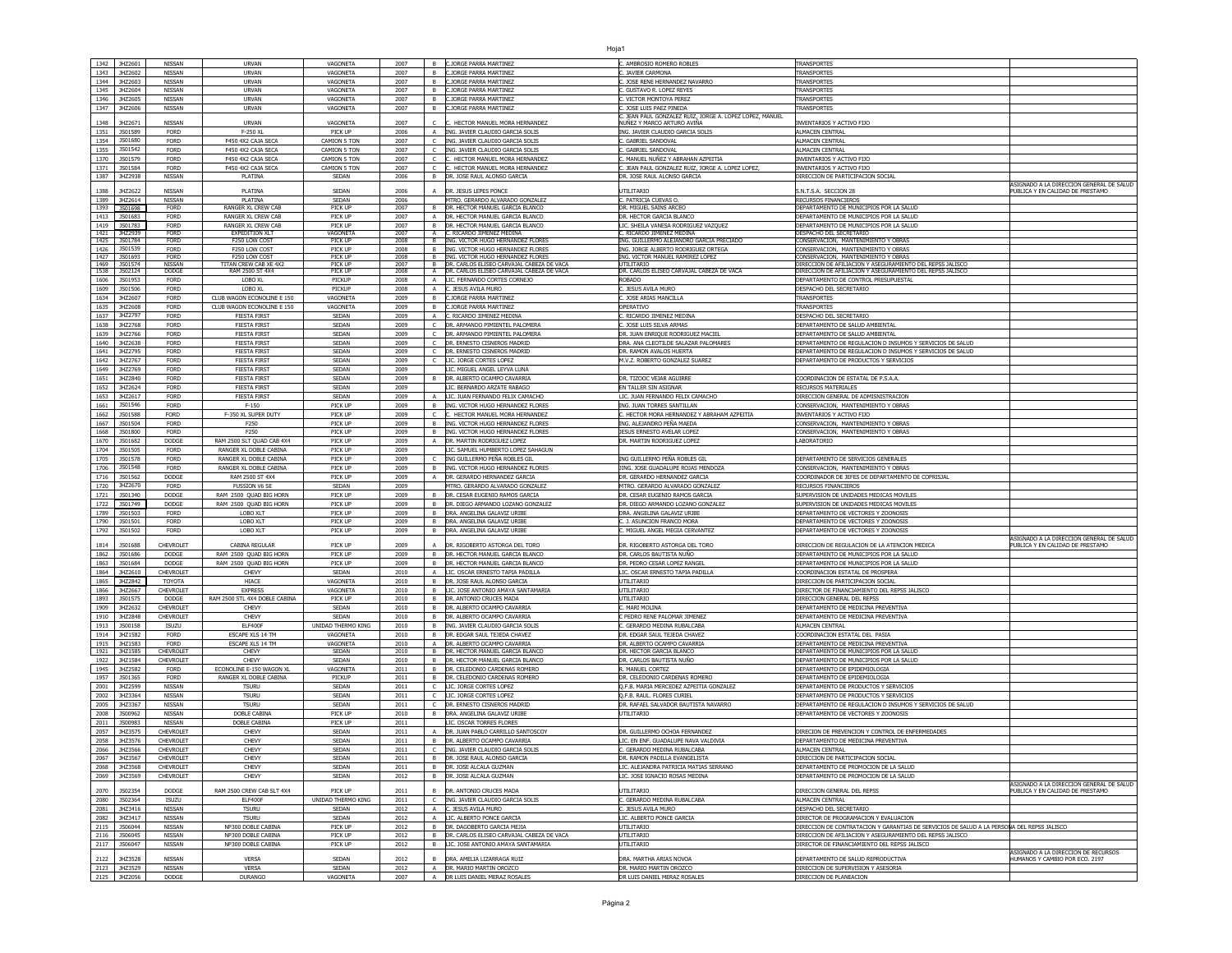|                                                                                                                              | 1342 JHZ2601                 | NISSAN           | <b>URVAN</b>                  | VAGONETA           | 2007         | <b>B</b>       | <b>C.JORGE PARRA MARTINEZ</b>                               | . AMBROSIO ROMERO ROBLES                                                               | <b>TRANSPORTES</b>                                                                         |                                          |
|------------------------------------------------------------------------------------------------------------------------------|------------------------------|------------------|-------------------------------|--------------------|--------------|----------------|-------------------------------------------------------------|----------------------------------------------------------------------------------------|--------------------------------------------------------------------------------------------|------------------------------------------|
|                                                                                                                              |                              |                  |                               |                    |              |                |                                                             |                                                                                        |                                                                                            |                                          |
| 1343                                                                                                                         | JHZ2602                      | NISSAN           | <b>URVAN</b>                  | VAGONETA           | 2007         | B              | C.JORGE PARRA MARTINEZ                                      | JAVIER CARMONA                                                                         | <b><i>FRANSPORTES</i></b>                                                                  |                                          |
| 1344                                                                                                                         | JHZ2603                      | NISSAN           | URVAN                         | VAGONETA           | 2007         | B              | C.JORGE PARRA MARTINEZ                                      | JOSE RENE HERNANDEZ NAVARRO                                                            | TRANSPORTES                                                                                |                                          |
| 1345                                                                                                                         | JHZ2604                      | NISSAN           | <b>URVAN</b>                  | VAGONETA           | 2007         | B              | C.JORGE PARRA MARTINEZ                                      | GUSTAVO R. LOPEZ REYES                                                                 | TRANSPORTE!                                                                                |                                          |
| 1346                                                                                                                         | JHZ2605                      | NISSAN           | URVAN                         | <b>VAGONETA</b>    | 2007         |                | B C.JORGE PARRA MARTINEZ                                    | . VICTOR MONTOYA PEREZ                                                                 | TRANSPORTE!                                                                                |                                          |
|                                                                                                                              |                              |                  |                               |                    |              |                | B C.JORGE PARRA MARTINEZ                                    |                                                                                        |                                                                                            |                                          |
| 1347                                                                                                                         | JHZ2606                      | NISSAN           | <b>URVAN</b>                  | VAGONETA           | 2007         |                |                                                             | JOSE LUIS PAEZ PINEDA                                                                  | <b>FRANSPORTES</b>                                                                         |                                          |
| 1348                                                                                                                         | JHZ267                       | NISSAN           | URVAN                         | VAGONET/           | 2007         |                | C. HECTOR MANUEL MORA HERNANDE                              | C. JEAN PAUL GONZALEZ RUIZ, JORGE A. LOPEZ LOPEZ, MANUEL<br>NUÑEZ Y MARCO ARTURO AVIÑA | <b>VVENTARIOS Y ACTIVO FIJO</b>                                                            |                                          |
|                                                                                                                              |                              |                  |                               |                    |              |                |                                                             |                                                                                        |                                                                                            |                                          |
| 1351                                                                                                                         | JS01589                      | <b>FORD</b>      | F-250 XL                      | PICK UP            | 2006         |                | A ING. JAVIER CLAUDIO GARCIA SOLIS                          | ING. JAVIER CLAUDIO GARCIA SOLIS                                                       | ALMACEN CENTRAI                                                                            |                                          |
| 1354                                                                                                                         | JS01680                      | <b>FORD</b>      | F450 4X2 CAJA SECA            | CAMION 5 TON       | 2007         | $\mathsf{C}$   | TNG. TAVIER CLAUDIO GARCIA SOLIS                            | GABRIEL SANDOVAL                                                                       | <b>ALMACEN CENTRA</b>                                                                      |                                          |
| 1355                                                                                                                         | JS01542                      | <b>FORD</b>      | F450 4X2 CAJA SECA            | CAMION 5 TON       | 2007         | C.             | TNG. JAVIER CLAUDIO GARCIA SOLIS                            | . GABRIEL SANDOVAL                                                                     | <b>ALMACEN CENTRA</b>                                                                      |                                          |
| 1370                                                                                                                         | JS01579                      | FORD             | F450 4X2 CAJA SECA            | CAMION 5 TON       | 2007         | $\mathsf{C}$   | C. HECTOR MANUEL MORA HERNANDEZ                             | . MANUEL NUÑEZ Y ABRAHAN AZPEITIA                                                      | INVENTARIOS Y ACTIVO FIJO                                                                  |                                          |
|                                                                                                                              |                              |                  |                               |                    |              |                |                                                             |                                                                                        |                                                                                            |                                          |
| 1371                                                                                                                         | JS01584                      | <b>FORD</b>      | F450 4X2 CAJA SECA            | CAMION 5 TON       | 2007         |                | C C. HECTOR MANUEL MORA HERNANDEZ                           | C. JEAN PAUL GONZALEZ RUIZ, JORGE A. LOPEZ LOPEZ,                                      | INVENTARIOS Y ACTIVO FIJO                                                                  |                                          |
| 1387                                                                                                                         | JHZ2938                      | NISSAN           | PLATINA                       | SEDAN              | 2006         |                | B DR. JOSE RAUL ALONSO GARCIA                               | DR. JOSE RAUL ALONSO GARCIA                                                            | DIRECCION DE PARTICIPACION SOCIAL                                                          |                                          |
|                                                                                                                              |                              |                  |                               |                    |              |                |                                                             |                                                                                        |                                                                                            | ASIGNADO A LA DIRECCION GENERAL DE SALUD |
| 1388                                                                                                                         | JHZ2622                      | NISSAN           | PLATINA                       | SEDAN              | 2006         |                | A <b>DR. JESUS LEPES PONCE</b>                              | UTILITARIO                                                                             | S.N.T.S.A. SECCION 28                                                                      | PUBLICA Y EN CALIDAD DE PRESTAMO         |
|                                                                                                                              | 1389 JHZ2614                 | NISSAN           | PLATINA                       | SEDAN              | 2006         |                | MTRO. GERARDO ALVARADO GONZALEZ                             | C. PATRICIA CUEVAS O.                                                                  | RECURSOS FINANCIEROS                                                                       |                                          |
| 1393                                                                                                                         | JS01698                      | <b>FORD</b>      | RANGER XL CREW CAB            | PICK UP            | 2007         | в              | DR. HECTOR MANUEL GARCIA BLANCO                             | DR. MIGUEL SAINS ARCEO                                                                 | DEPARTAMENTO DE MUNICIPIOS POR LA SALUD                                                    |                                          |
| 1413                                                                                                                         | JS01683                      | <b>FORD</b>      | RANGER XL CREW CAB            | PICK UP            | 2007         |                | DR. HECTOR MANUEL GARCIA BLANCO                             | DR. HECTOR GARCIA BLANCO                                                               | DEPARTAMENTO DE MUNICIPIOS POR LA SALUD                                                    |                                          |
|                                                                                                                              |                              |                  |                               |                    |              |                |                                                             |                                                                                        |                                                                                            |                                          |
| 1419                                                                                                                         | JS01783                      | <b>FORD</b>      | RANGER XL CREW CAB            | PICK UP            | 2007         | B              | DR. HECTOR MANUEL GARCIA BLANCO                             | LIC. SHEILA VANESA RODRIGUEZ VAZQUEZ                                                   | DEPARTAMENTO DE MUNICIPIOS POR LA SALUD                                                    |                                          |
|                                                                                                                              | 1421 HZ2939                  | <b>FORD</b>      | <b>EXPEDITION XLT</b>         | <b>VAGONETA</b>    | 2007         |                | A C. RICARDO JIMENEZ MEDINA                                 | C. RICARDO JIMENEZ MEDINA                                                              | DESPACHO DEL SECRETARIO                                                                    |                                          |
|                                                                                                                              | 1425 3S01784                 | <b>FORD</b>      | F250 LOW COST                 | <b>PICK UP</b>     | 2008         |                | B  ING. VICTOR HUGO HERNANDEZ FLORES                        | ING. GUILLERMO ALEJANDRO GARCIA PRECIADO                                               | CONSERVACION, MANTENIMIENTO Y OBRAS                                                        |                                          |
| 1426                                                                                                                         | JS01539                      | <b>FORD</b>      | F250 LOW COST                 | PICK UF            | 2008         |                | B ING. VICTOR HUGO HERNANDEZ FLORES                         | ING. JORGE ALBERTO RODRIGUEZ ORTEGA                                                    | CONSERVACION, MANTENIMIENTO Y OBRAS                                                        |                                          |
|                                                                                                                              | 1427 3S01693                 | <b>FORD</b>      | F250 LOW COST                 | PICK UP            | 2008         |                | B ING. VICTOR HUGO HERNANDEZ FLORES                         | ING. VICTOR MANUEL RAMIREZ LOPEZ                                                       | CONSERVACION, MANTENIMIENTO Y OBRAS                                                        |                                          |
|                                                                                                                              | 1469 3S01574                 | NISSAN           | TITAN CREW CAB XE 4X2         | PICK UP            | 2007         |                | B   DR. CARLOS ELISEO CARVAJAL CABEZA DE VACA               | UTILITARIO                                                                             | DIRECCION DE AFILIACION Y ASEGURAMIENTO DEL REPSS JALISCO                                  |                                          |
|                                                                                                                              | 1538 3502124                 | <b>DODGE</b>     | RAM 2500 ST 4X4               | PICK UF            | 2008         |                | A <b>DR. CARLOS ELISEO CARVAJAL CABEZA DE VACA</b>          | DR. CARLOS ELISEO CARVAJAL CABEZA DE VACA                                              | DIRECCION DE AFILIACION Y ASEGURAMIENTO DEL REPSS JALISCO                                  |                                          |
|                                                                                                                              | 1606 3S01953                 |                  |                               |                    |              |                |                                                             | <b>ROBADO</b>                                                                          |                                                                                            |                                          |
|                                                                                                                              |                              | FORD             | LOBO XL                       | PICKUP             | 2008         |                | A LIC. FERNANDO CORTES CORNEJO                              |                                                                                        | DEPARTAMENTO DE CONTROL PRESUPUESTAL                                                       |                                          |
|                                                                                                                              | 1609 3S01506                 | <b>FORD</b>      | LOBO XL                       | PICKUP             | 2008         |                | A C. JESUS AVILA MURO                                       | C. JESUS AVILA MURO                                                                    | DESPACHO DEL SECRETARIO                                                                    |                                          |
|                                                                                                                              | 1634 JHZ2607                 | <b>FORD</b>      | CLUB WAGON ECONOLINE E 150    | <b>VAGONETA</b>    | 2009         |                | B C.JORGE PARRA MARTINEZ                                    | C. JOSE ARIAS MANCILLA                                                                 | TRANSPORTES                                                                                |                                          |
| 1635                                                                                                                         | JHZ2608                      | <b>FORD</b>      | CLUB WAGON ECONOLINE E 150    | <b>VAGONETA</b>    | 2009         | $\mathbf{B}$   | <b>C.JORGE PARRA MARTINEZ</b>                               | OPERATIVO                                                                              | <b>TRANSPORTES</b>                                                                         |                                          |
|                                                                                                                              |                              |                  |                               |                    |              |                |                                                             |                                                                                        |                                                                                            |                                          |
| 1637                                                                                                                         | JHZ2797                      | <b>FORD</b>      | <b>FIESTA FIRST</b>           | SEDAN              | 2009         | A              | C. RICARDO JIMENEZ MEDINA                                   | . RICARDO JIMENEZ MEDINA                                                               | DESPACHO DEL SECRETARIO                                                                    |                                          |
| 1638                                                                                                                         | JHZ2768                      | <b>FORD</b>      | <b>FIESTA FIRST</b>           | SEDAN              | 2009         | C.             | DR. ARMANDO PIMIENTEL PALOMERA                              | JOSE LUIS SILVA ARMAS                                                                  | DEPARTAMENTO DE SALUD AMBIENTAL                                                            |                                          |
| 1639                                                                                                                         | JHZ2766                      | FORD             | <b>FIESTA FIRST</b>           | SEDAN              | 2009         | $\mathsf{C}$   | DR. ARMANDO PIMIENTEL PALOMERA                              | DR. JUAN ENRIQUE RODRIGUEZ MACIEL                                                      | DEPARTAMENTO DE SALUD AMBIENTAL                                                            |                                          |
|                                                                                                                              |                              |                  |                               |                    |              |                |                                                             |                                                                                        |                                                                                            |                                          |
| 1640                                                                                                                         | JHZ2638                      | <b>FORD</b>      | <b>FIESTA FIRST</b>           | SEDAN              | 2009         |                | DR. ERNESTO CISNEROS MADRID                                 | DRA. ANA CLEOTILDE SALAZAR PALOMARES                                                   | DEPARTAMENTO DE REGULACION D INSUMOS Y SERVICIOS DE SALUD                                  |                                          |
| 1641                                                                                                                         | JHZ2795                      | <b>FORD</b>      | <b>FIESTA FIRST</b>           | SEDAN              | 2009         |                | DR. ERNESTO CISNEROS MADRID                                 | DR. RAMON AVALOS HUERTA                                                                | DEPARTAMENTO DE REGULACION D INSUMOS Y SERVICIOS DE SALUD                                  |                                          |
| 1642                                                                                                                         | JHZ276                       | FORD             | <b>FIESTA FIRST</b>           | SEDAN              | 2009         |                | C LIC. JORGE CORTES LOPEZ                                   | M.V.Z. ROBERTO GONZALEZ SUAREZ                                                         | DEPARTAMENTO DE PRODUCTOS Y SERVICIOS                                                      |                                          |
| 1649                                                                                                                         | JHZ2769                      | <b>FORD</b>      | <b>FIESTA FIRST</b>           | SEDAN              | 2009         |                | LIC. MIGUEL ANGEL LEYVA LUNA                                |                                                                                        |                                                                                            |                                          |
|                                                                                                                              |                              |                  |                               |                    |              |                |                                                             |                                                                                        |                                                                                            |                                          |
| 1651                                                                                                                         | JHZ2840                      | <b>FORD</b>      | <b>FIESTA FIRST</b>           | SEDAN              | 2009         | <b>B</b>       | DR. ALBERTO OCAMPO CAVARRIA                                 | DR. TIZOOC VEJAR AGUIRRE                                                               | COORDINACION DE ESTATAL DE P.S.A.A                                                         |                                          |
| 1652                                                                                                                         | JHZ2624                      | <b>FORD</b>      | <b>FIESTA FIRST</b>           | SEDAN              | 2009         |                | LIC. BERNARDO ARZATE RABAGO                                 | EN TALLER SIN ASIGNAR                                                                  | RECURSOS MATERIALES                                                                        |                                          |
|                                                                                                                              | 1653 JHZ2617                 | <b>FORD</b>      | <b>FIESTA FIRST</b>           | SEDAN              | 2009         |                | A LIC. JUAN FERNANDO FELIX CAMACHO                          | LIC. JUAN FERNANDO FELIX CAMACHO                                                       | DIRECCION GENERAL DE ADMISNISTRACION                                                       |                                          |
|                                                                                                                              |                              |                  |                               |                    |              |                |                                                             |                                                                                        | CONSERVACION, MANTENIMIENTO Y OBRAS                                                        |                                          |
|                                                                                                                              | 1661 3S01546                 | FORD             | F-150                         | PICK UP            | 2009         |                | B ING. VICTOR HUGO HERNANDEZ FLORES                         | ING. JUAN TORRES SANTILLAN                                                             |                                                                                            |                                          |
| 1662                                                                                                                         | JS01588                      | <b>FORD</b>      | F-350 XL SUPER DUTY           | PICK UP            | 2009         |                | C C. HECTOR MANUEL MORA HERNANDEZ                           | HECTOR MORA HERNANDEZ Y ABRAHAM AZPEITIA                                               | INVENTARIOS Y ACTIVO FIJO                                                                  |                                          |
| 1667                                                                                                                         | JS01504                      | <b>FORD</b>      | F250                          | PICK UP            | 2009         |                | B  ING. VICTOR HUGO HERNANDEZ FLORES                        | ING. AL <u>EJANDRO PEÑA MAEDA</u>                                                      | CONSERVACION. MANTENIMIENTO Y OBRAS                                                        |                                          |
| 1668                                                                                                                         | JS01800                      | <b>FORD</b>      | F250                          | PICK UP            | 2009         |                | B TNG. VICTOR HUGO HERNANDEZ ELORES                         | JESUS ERNESTO AVELAR LOPEZ                                                             | CONSERVACION, MANTENIMIENTO Y OBRAS                                                        |                                          |
|                                                                                                                              |                              |                  |                               |                    |              |                |                                                             |                                                                                        |                                                                                            |                                          |
| 1670                                                                                                                         | JS01682                      | DODGE            | RAM 2500 SLT QUAD CAB 4X4     | PICK UF            | 2009         | $\mathsf{A}$   | DR. MARTIN RODRIGUEZ LOPEZ                                  | R. MARTIN RODRIGUEZ LOPEZ                                                              | ABORATORIO                                                                                 |                                          |
| 1704                                                                                                                         | JS01505                      | FORD             | RANGER XL DOBLE CABINA        | PICK UP            | 2009         |                | LIC. SAMUEL HUMBERTO LOPEZ SAHAGUN                          |                                                                                        |                                                                                            |                                          |
| 1705                                                                                                                         | JS01578                      | FORD             | RANGER XL DOBLE CABINA        | PICK UP            | 2009         |                | ING GUILLERMO PEÑA ROBLES GIL                               | ING GUILLERMO PEÑA ROBLES GIL                                                          | DEPARTAMENTO DE SERVICIOS GENERALES                                                        |                                          |
| 1706                                                                                                                         | JS01548                      | <b>FORD</b>      | RANGER XL DOBLE CABINA        | PICK UP            | 2009         | $\overline{B}$ | ING. VICTOR HUGO HERNANDEZ FLORES                           | JING. JOSE GUADALUPE ROJAS MENDOZA                                                     | CONSERVACION. MANTENIMIENTO Y OBRA!                                                        |                                          |
|                                                                                                                              | JS01562                      | <b>DODGE</b>     | RAM 2500 ST 4X4               | PICK UP            | 2009         | $\overline{A}$ | DR. GERARDO HERNANDEZ GARCIA                                | DR. GERARDO HERNANDEZ GARCIA                                                           | COORDINADOR DE JEFES DE DEPARTAMENTO DE COPRISJAI                                          |                                          |
| 1716                                                                                                                         |                              |                  |                               |                    |              |                |                                                             |                                                                                        |                                                                                            |                                          |
|                                                                                                                              | JHZ2670                      | <b>FORD</b>      | <b>FUSSION V6 SE</b>          | SEDAN              | 2009         |                | MTRO. GERARDO AI VARADO GONZALEZ                            | MTRO, GERARDO ALVARADO GONZALEZ                                                        | RECURSOS FINANCIEROS                                                                       |                                          |
|                                                                                                                              |                              | DODGE            | RAM 2500 QUAD BIG HORN        | PICK UF            | 2009         | B              | DR. CESAR EUGENIO RAMOS GARCIA                              | DR. CESAR EUGENIO RAMOS GARCIA                                                         | SUPERVISION DE UNIDADES MEDICAS MOVILES                                                    |                                          |
|                                                                                                                              | JS01340                      |                  |                               |                    |              |                | B DR. DIEGO ARMANDO LOZANO GONZALEZ                         | DR. DIEGO ARMANDO LOZANO GONZALEZ                                                      | SUPERVISION DE UNIDADES MEDICAS MOVILES                                                    |                                          |
|                                                                                                                              |                              |                  |                               |                    |              |                |                                                             |                                                                                        |                                                                                            |                                          |
|                                                                                                                              | JS01749                      | DODGE            | RAM 2500 QUAD BIG HORN        | PICK UP            | 2009         |                |                                                             |                                                                                        |                                                                                            |                                          |
|                                                                                                                              | 1789 3S01503                 | <b>FORD</b>      | LOBO XLT                      | PICK UP            | 2009         |                | B  DRA. ANGELINA GALAVIZ URIBE                              | DRA. ANGELINA GALAVIZ URIBE                                                            | DEPARTAMENTO DE VECTORES Y ZOONOSIS                                                        |                                          |
|                                                                                                                              | JS01501                      | <b>FORD</b>      | LOBO XLT                      | PICK UP            | 2009         |                | B  DRA. ANGELINA GALAVIZ URIBI                              | C. J. ASUNCION FRANCO MORA                                                             | DEPARTAMENTO DE VECTORES Y ZOONOSIS                                                        |                                          |
|                                                                                                                              |                              |                  |                               |                    |              |                |                                                             |                                                                                        |                                                                                            |                                          |
|                                                                                                                              | JS01502                      | <b>FORD</b>      | LOBO XLT                      | PICK UP            | 2009         |                | B DRA, ANGELINA GALAVIZ URIBE                               | . MIGUEL ANGEL MEGIA CERVANTEZ                                                         | DEPARTAMENTO DE VECTORES Y ZOONOSIS                                                        |                                          |
|                                                                                                                              |                              |                  |                               |                    |              |                |                                                             |                                                                                        |                                                                                            | ASIGNADO A LA DIRECCION GENERAL DE SALUD |
|                                                                                                                              | JS01688                      | CHEVROLET        | CABINA REGULAR                | PICK UP            | 2009         |                | A <b>DR. RIGOBERTO ASTORGA DEL TORO</b>                     | DR. RIGOBERTO ASTORGA DEL TORO                                                         | DIRECCION DE REGULACION DE LA ATENCION MEDICA                                              | PUBLICA Y EN CALIDAD DE PRESTAMO         |
|                                                                                                                              | JS01686                      | DODGE            | RAM 2500 QUAD BIG HORN        | PICK UP            | 2009         |                | B DR. HECTOR MANUEL GARCIA BLANCO                           | DR. CARLOS BAUTISTA NUÑO                                                               | DEPARTAMENTO DE MUNICIPIOS POR LA SALUD                                                    |                                          |
|                                                                                                                              | JS01684                      | DODGE            | RAM 2500 OUAD BIG HORN        | PICK UP            | 2009         |                | B DR. HECTOR MANUEL GARCIA BLANCO                           | DR. PEDRO CESAR LOPEZ RANGEL                                                           | DEPARTAMENTO DE MUNICIPIOS POR LA SALUD                                                    |                                          |
|                                                                                                                              | JHZ2610                      | CHEVROLET        | CHEVY                         | SEDAN              | 2010         | $\overline{A}$ | LIC. OSCAR ERNESTO TAPIA PADILLA                            | IC. OSCAR ERNESTO TAPIA PADILLA                                                        | COORDINACION ESTATAL DE PROSPERA                                                           |                                          |
|                                                                                                                              |                              |                  |                               |                    |              |                |                                                             |                                                                                        |                                                                                            |                                          |
|                                                                                                                              | JHZ2842                      | <b>TOYOTA</b>    | HIACE                         | <b>VAGONETA</b>    | 2010         | B              | DR. JOSE RAUL ALONSO GARCIA                                 | <b>JTILITARIO</b>                                                                      | DIRECCION DE PARTICIPACION SOCIAL                                                          |                                          |
|                                                                                                                              | JHZ2667                      | CHEVROLET        | <b>EXPRESS</b>                | <b>VAGONETA</b>    | 2010         | <b>B</b>       | LIC. JOSE ANTONIO AMAYA SANTAMARIA                          | UTILITARIO                                                                             | DIRECTOR DE FINANCIAMIENTO DEL REPSS JALISCO                                               |                                          |
|                                                                                                                              | JS01575                      | DODGE            | RAM 2500 STL 4X4 DOBLE CABINA | PICK UP            | 2010         | B              | <b>IDR. ANTONIO CRUCES MADA</b>                             | UTILITARIO                                                                             | DIRECCION GENERAL DEL REPSS                                                                |                                          |
|                                                                                                                              | JHZ2632                      | CHEVROLET        | CHEVY                         | SEDAN              | 2010         | B              |                                                             | . MARI MOLINA                                                                          | DEPARTAMENTO DE MEDICINA PREVENTIVA                                                        |                                          |
|                                                                                                                              |                              |                  |                               |                    |              |                | DR. ALBERTO OCAMPO CAVARRIA                                 |                                                                                        |                                                                                            |                                          |
|                                                                                                                              | JHZ2848                      | CHEVROLET        | CHEVY                         | SEDAN              | 2010         | В.             | DR. ALBERTO OCAMPO CAVARRIA                                 | PEDRO RENE PALOMAR JIMENEZ                                                             | DEPARTAMENTO DE MEDICINA PREVENTIVA                                                        |                                          |
|                                                                                                                              | JS00158                      | <b>ISUZU</b>     | ELF400F                       | UNIDAD THERMO KING | 2010         | <b>B</b>       | ING, JAVIER CLAUDIO GARCIA SOLI:                            | . GERARDO MEDINA RUBALCABA                                                             | ALMACEN CENTRAL                                                                            |                                          |
|                                                                                                                              | 1914   JHZ1582               | <b>FORD</b>      | ESCAPE XLS 14 TM              | <b>VAGONETA</b>    | 2010         |                | B DR. EDGAR SAUL TEJEDA CHAVEZ                              | DR. EDGAR SAUL TEJEDA CHAVEZ                                                           | COORDINACION ESTATAL DEL PASIA                                                             |                                          |
|                                                                                                                              | 1915   JHZ1583               | <b>FORD</b>      | ESCAPE XLS 14 TM              | <b>VAGONETA</b>    | 2010         |                | A <b>DR. ALBERTO OCAMPO CAVARRIA</b>                        | DR. ALBERTO OCAMPO CAVARRIA                                                            | DEPARTAMENTO DE MEDICINA PREVENTIVA                                                        |                                          |
|                                                                                                                              |                              |                  | CHEVY                         |                    | 2010         |                |                                                             |                                                                                        |                                                                                            |                                          |
|                                                                                                                              | 1921   JHZ1585               | CHEVROLET        |                               | SEDAN              |              |                | B DR. HECTOR MANUEL GARCIA BLANCO                           | DR. HECTOR GARCIA BLANCO                                                               | DEPARTAMENTO DE MUNICIPIOS POR LA SALUD                                                    |                                          |
| 1720<br>1721<br>1722<br>1790<br>1792<br>1814<br>1862<br>1863<br>1864<br>1865<br>1866<br>1893<br>1909<br>1910<br>1913<br>1922 | JHZ1584                      | CHEVROLET        | CHEVY                         | SEDAN              | 2010         | $\overline{B}$ | DR. HECTOR MANUEL GARCIA BLANCO                             | DR. CARLOS BAUTISTA NUÑO                                                               | DEPARTAMENTO DE MUNICIPIOS POR LA SALUD                                                    |                                          |
| 1945                                                                                                                         | JHZ2582                      | <b>FORD</b>      | ECONOLINE E-150 WAGON XL      | <b>VAGONETA</b>    | 2011         |                | B DR. CELEDONIO CARDENAS ROMERO                             | R. MANUEL CORTEZ                                                                       | DEPARTAMENTO DE EPIDEMIOLOGIA                                                              |                                          |
| 1957                                                                                                                         | JS01365                      | <b>FORD</b>      | RANGER XL DOBLE CABINA        | PICKUP             | 2011         |                | B DR. CELEDONIO CARDENAS ROMERO                             | DR. CELEDONIO CARDENAS ROMERO                                                          | DEPARTAMENTO DE EPIDEMIOLOGIA                                                              |                                          |
|                                                                                                                              | JHZ2599                      | NISSAN           | <b>TSURU</b>                  | SEDAN              | 2011         |                | C LIC. JORGE CORTES LOPEZ                                   | O.F.B. MARIA MERCEDEZ AZPETTIA GONZALEZ                                                | DEPARTAMENTO DE PRODUCTOS Y SERVICIOS                                                      |                                          |
| 2001                                                                                                                         |                              |                  |                               |                    |              |                |                                                             |                                                                                        |                                                                                            |                                          |
| 2002                                                                                                                         | JHZ3364                      | NISSAN           | <b>TSURU</b>                  | SEDAN              | 2011         | C.             | LIC. JORGE CORTES LOPEZ                                     | O.F.B. RAUL. FLORES CURIEI                                                             | DEPARTAMENTO DE PRODUCTOS Y SERVICIOS                                                      |                                          |
|                                                                                                                              | 2005   JHZ3367               | NISSAN           | <b>TSURU</b>                  | SEDAN              | 2011         |                | C DR. ERNESTO CISNEROS MADRID                               | DR. RAFAEL SALVADOR BAUTISTA NAVARRO                                                   | DEPARTAMENTO DE REGULACION D INSUMOS Y SERVICIOS DE SALUD                                  |                                          |
|                                                                                                                              | 2008 3S00962                 | NISSAN           | DOBLE CABINA                  | PICK UP            | 2010         |                | B DRA. ANGELINA GALAVIZ URIBE                               | UTILITARIO                                                                             | DEPARTAMENTO DE VECTORES Y ZOONOSIS                                                        |                                          |
|                                                                                                                              |                              |                  |                               | PICK UP            |              |                |                                                             |                                                                                        |                                                                                            |                                          |
| 2011                                                                                                                         | JS00983                      | NISSAN           | DOBLE CABINA                  |                    | 2011         |                | LIC. OSCAR TORRES FLORES                                    |                                                                                        |                                                                                            |                                          |
|                                                                                                                              | JHZ3575                      | CHEVROLET        | CHEVY                         | SEDAN              | 2011         |                | A DR. JUAN PABLO CARRILLO SANTOSCOY                         | DR. GUILLERMO OCHOA FERNANDEZ                                                          | DIRECION DE PREVENCION Y CONTROL DE ENFERMEDADES                                           |                                          |
| 2057<br>2058                                                                                                                 | JHZ3576                      | CHEVROLET        | CHEVY                         | SEDAN              | 2011         |                | B DR. ALBERTO OCAMPO CAVARRIA                               | IC. EN ENF. GUADALUPE NAVA VALDIVIA                                                    | DEPARTAMENTO DE MEDICINA PREVENTIVA                                                        |                                          |
|                                                                                                                              |                              | CHEVROLET        | CHEVY                         | SEDAN              |              |                | C ING. JAVIER CLAUDIO GARCIA SOLIS                          | . GERARDO MEDINA RUBALCABA                                                             | ALMACEN CENTRAL                                                                            |                                          |
|                                                                                                                              | 2066 JHZ3566                 |                  |                               |                    | 2011         |                |                                                             |                                                                                        |                                                                                            |                                          |
|                                                                                                                              | 2067   JHZ3567               | <b>CHEVROLE!</b> | CHEVY                         | SEDAN              | 2011         |                | IDR. JOSE RAUL ALONSO GARCIA                                | JR. KAMUN PADILLA EVANGELISTA                                                          | dirección de Participación Social                                                          |                                          |
|                                                                                                                              | 2068 JHZ3568                 | CHEVROLET        | CHEVY                         | SEDAN              | 2011         |                | B  DR. JOSE ALCALA GUZMAN                                   | LIC. ALEJANDRA PATRICIA MATIAS SERRANO                                                 | DEPARTAMENTO DE PROMOCION DE LA SALUD                                                      |                                          |
|                                                                                                                              | 2069   JHZ3569               | CHEVROLET        | CHEVY                         | SEDAN              | 2012         |                | B DR. JOSE ALCALA GUZMAN                                    | LIC. JOSE IGNACIO ROSAS MEDINA                                                         | DEPARTAMENTO DE PROMOCION DE LA SALUD                                                      |                                          |
|                                                                                                                              |                              |                  |                               |                    |              |                |                                                             |                                                                                        |                                                                                            | ASIGNADO A LA DIRECCION GENERAL DE SALUD |
|                                                                                                                              | JS02354                      | DODGE            | RAM 2500 CREW CAB SLT 4X4     | PICK UP            | 2011         |                | B <b>DR. ANTONIO CRUCES MADA</b>                            | UTILITARIO                                                                             | DIRECCION GENERAL DEL REPSS                                                                | PUBLICA Y EN CALIDAD DE PRESTAMO         |
| 2070                                                                                                                         |                              |                  |                               |                    |              |                |                                                             |                                                                                        |                                                                                            |                                          |
|                                                                                                                              | 2080 3502364                 | <b>ISUZU</b>     | ELF400F                       | UNIDAD THERMO KING | 2011         |                | C ING. JAVIER CLAUDIO GARCIA SOLIS                          | C. GERARDO MEDINA RUBALCABA                                                            | ALMACEN CENTRAL                                                                            |                                          |
|                                                                                                                              | 2081 JHZ3416                 | NISSAN           | <b>TSURU</b>                  | SEDAN              | 2012         |                | A C. JESUS AVILA MURO                                       | JESUS AVILA MURO                                                                       | DESPACHO DEL SECRETARIO                                                                    |                                          |
|                                                                                                                              | 2082 JHZ3417                 | NISSAN           | <b>TSURU</b>                  | SEDAN              | 2012         |                | A LIC. ALBERTO PONCE GARCIA                                 | LIC. ALBERTO PONCE GARCIA                                                              | DIRECTOR DE PROGRAMACION Y EVALUACION                                                      |                                          |
|                                                                                                                              |                              |                  |                               |                    |              |                |                                                             |                                                                                        |                                                                                            |                                          |
|                                                                                                                              | 2115 3S06044                 | NISSAN           | NP300 DOBLE CABINA            | PICK UP            | 2012         |                | B DR. DAGOBERTO GARCIA MEJIA                                | UTILITARIO                                                                             | DIRECCION DE CONTRATACION Y GARANTIAS DE SERVICIOS DE SALUD A LA PERSONA DEL REPSS JALISCO |                                          |
|                                                                                                                              | 2116 3S06045                 | NISSAN           | NP300 DOBLE CABINA            | PICK UP            | 2012         |                | B DR. CARLOS ELISEO CARVAJAL CABEZA DE VACA                 | UTILITARIO                                                                             | DIRECCION DE AFILIACION Y ASEGURAMIENTO DEL REPSS JALISCO                                  |                                          |
|                                                                                                                              | 2117   JS06047               | NISSAN           | NP300 DOBLE CABINA            | PICK UP            | 2012         |                | B LIC. JOSE ANTONIO AMAYA SANTAMARIA                        | UTILITARIO                                                                             | DIRECTOR DE FINANCIAMIENTO DEL REPSS JALISCO                                               |                                          |
|                                                                                                                              |                              |                  |                               |                    |              |                |                                                             |                                                                                        |                                                                                            | ASIGNADO A LA DIRECCION DE RECURSOS      |
|                                                                                                                              | 2122 JHZ3528                 | NISSAN           | VERSA                         | SEDAN              | 2012         |                | B DRA. AMELIA LIZARRAGA RUIZ                                | DRA. MARTHA ARIAS NOVOA                                                                | DEPARTAMENTO DE SALUD REPRODUCTIVA                                                         | HUMANOS Y CAMBIO POR ECO. 2197           |
|                                                                                                                              |                              | NISSAN           | <b>VERSA</b>                  |                    |              |                |                                                             | DR. MARIO MARTIN OROZCO                                                                |                                                                                            |                                          |
|                                                                                                                              | 2123 JHZ3529<br>2125 JHZ2056 | DODGE            | <b>DURANGO</b>                | SEDAN<br>VAGONETA  | 2012<br>2007 |                | A DR. MARIO MARTIN OROZCO<br>A DR LUIS DANIEL MERAZ ROSALES | DR LUIS DANIEL MERAZ ROSALES                                                           | DIRECCION DE SUPERVISION Y ASESORIA<br>DIRECCION DE PLANEACION                             |                                          |

Hoja1